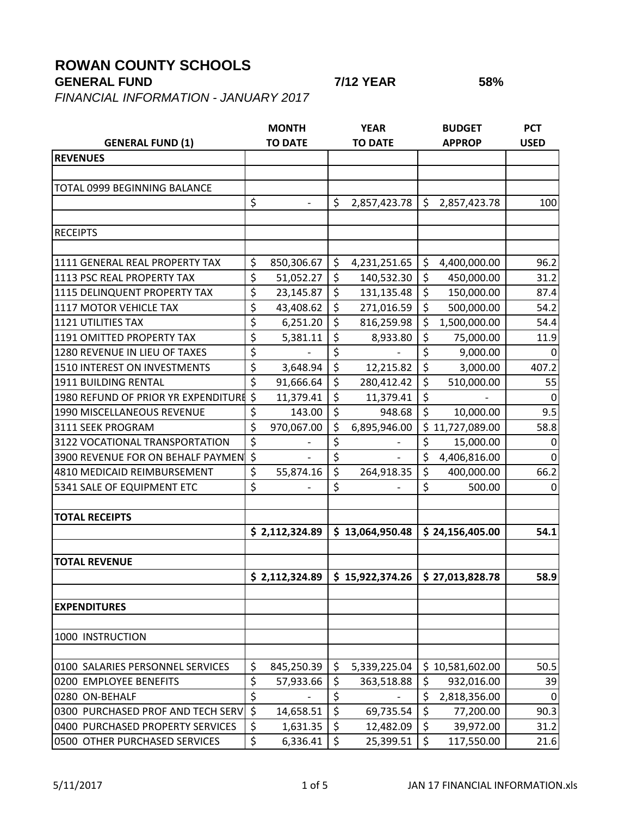## **ROWAN COUNTY SCHOOLS**

*FINANCIAL INFORMATION - JANUARY 2017*

| <b>GENERAL FUND (1)</b>                | <b>MONTH</b><br><b>TO DATE</b> |                | <b>YEAR</b><br><b>TO DATE</b> |                 | <b>BUDGET</b><br><b>APPROP</b> |                 | <b>PCT</b><br><b>USED</b> |
|----------------------------------------|--------------------------------|----------------|-------------------------------|-----------------|--------------------------------|-----------------|---------------------------|
| <b>REVENUES</b>                        |                                |                |                               |                 |                                |                 |                           |
|                                        |                                |                |                               |                 |                                |                 |                           |
| TOTAL 0999 BEGINNING BALANCE           |                                |                |                               |                 |                                |                 |                           |
|                                        | $\zeta$                        |                | \$                            | 2,857,423.78    | $\zeta$                        | 2,857,423.78    | 100                       |
|                                        |                                |                |                               |                 |                                |                 |                           |
| <b>RECEIPTS</b>                        |                                |                |                               |                 |                                |                 |                           |
|                                        |                                |                |                               |                 |                                |                 |                           |
| 1111 GENERAL REAL PROPERTY TAX         | \$                             | 850,306.67     | \$                            | 4,231,251.65    | \$                             | 4,400,000.00    | 96.2                      |
| 1113 PSC REAL PROPERTY TAX             | \$                             | 51,052.27      | \$                            | 140,532.30      | \$                             | 450,000.00      | 31.2                      |
| 1115 DELINQUENT PROPERTY TAX           | \$                             | 23,145.87      | \$                            | 131,135.48      | \$                             | 150,000.00      | 87.4                      |
| 1117 MOTOR VEHICLE TAX                 | \$                             | 43,408.62      | $\overline{\xi}$              | 271,016.59      | $\zeta$                        | 500,000.00      | 54.2                      |
| <b>1121 UTILITIES TAX</b>              | \$                             | 6,251.20       | \$                            | 816,259.98      | \$                             | 1,500,000.00    | 54.4                      |
| 1191 OMITTED PROPERTY TAX              | \$                             | 5,381.11       | $\overline{\xi}$              | 8,933.80        | \$                             | 75,000.00       | 11.9                      |
| 1280 REVENUE IN LIEU OF TAXES          | \$                             |                | \$                            |                 | \$                             | 9,000.00        | 0                         |
| 1510 INTEREST ON INVESTMENTS           | \$                             | 3,648.94       | $\overline{\xi}$              | 12,215.82       | $\zeta$                        | 3,000.00        | 407.2                     |
| 1911 BUILDING RENTAL                   | \$                             | 91,666.64      | $\overline{\xi}$              | 280,412.42      | \$                             | 510,000.00      | 55                        |
| 1980 REFUND OF PRIOR YR EXPENDITURE \$ |                                | 11,379.41      | \$                            | 11,379.41       | \$                             |                 | $\Omega$                  |
| 1990 MISCELLANEOUS REVENUE             | \$                             | 143.00         | $\zeta$                       | 948.68          | $\zeta$                        | 10,000.00       | 9.5                       |
| 3111 SEEK PROGRAM                      | \$                             | 970,067.00     | \$                            | 6,895,946.00    | \$.                            | 11,727,089.00   | 58.8                      |
| 3122 VOCATIONAL TRANSPORTATION         | \$                             |                | \$                            |                 | \$                             | 15,000.00       | $\mathbf{0}$              |
| 3900 REVENUE FOR ON BEHALF PAYMEN      | $\overline{\varsigma}$         |                | \$                            |                 | \$                             | 4,406,816.00    | $\Omega$                  |
| 4810 MEDICAID REIMBURSEMENT            | \$                             | 55,874.16      | \$                            | 264,918.35      | \$                             | 400,000.00      | 66.2                      |
| 5341 SALE OF EQUIPMENT ETC             | \$                             |                | $\overline{\xi}$              |                 | \$                             | 500.00          | 0                         |
|                                        |                                |                |                               |                 |                                |                 |                           |
| <b>TOTAL RECEIPTS</b>                  |                                |                |                               |                 |                                |                 |                           |
|                                        |                                | \$2,112,324.89 |                               | \$13,064,950.48 |                                | \$24,156,405.00 | 54.1                      |
|                                        |                                |                |                               |                 |                                |                 |                           |
| <b>TOTAL REVENUE</b>                   |                                |                |                               |                 |                                |                 |                           |
|                                        |                                | \$2,112,324.89 |                               | \$15,922,374.26 |                                | \$27,013,828.78 | 58.9                      |
| <b>EXPENDITURES</b>                    |                                |                |                               |                 |                                |                 |                           |
|                                        |                                |                |                               |                 |                                |                 |                           |
| 1000 INSTRUCTION                       |                                |                |                               |                 |                                |                 |                           |
| 0100 SALARIES PERSONNEL SERVICES       | \$                             | 845,250.39     | \$                            | 5,339,225.04    |                                | \$10,581,602.00 | 50.5                      |
| 0200 EMPLOYEE BENEFITS                 | \$                             | 57,933.66      | \$                            | 363,518.88      | \$                             | 932,016.00      | 39                        |
| 0280 ON-BEHALF                         | $\overline{\xi}$               |                | \$                            |                 | \$                             | 2,818,356.00    | $\overline{0}$            |
| 0300 PURCHASED PROF AND TECH SERV      | $\zeta$                        | 14,658.51      | \$                            | 69,735.54       | \$                             | 77,200.00       | 90.3                      |
| 0400 PURCHASED PROPERTY SERVICES       | \$                             | 1,631.35       | \$                            | 12,482.09       | \$                             | 39,972.00       | 31.2                      |
| 0500 OTHER PURCHASED SERVICES          | $\zeta$                        | 6,336.41       | \$                            | 25,399.51       | \$                             | 117,550.00      | 21.6                      |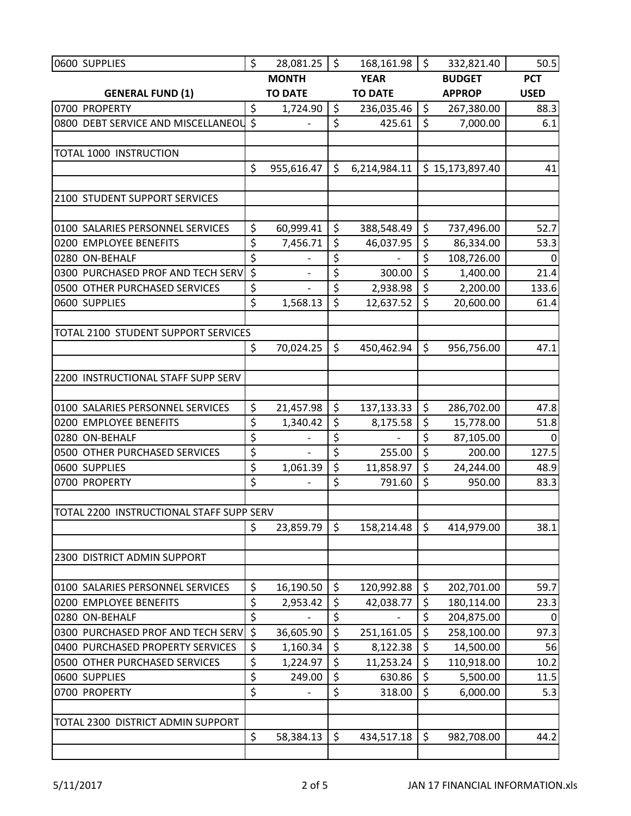| 0600 SUPPLIES                                                      | \$                     | 28,081.25      | $\ddot{\mathsf{S}}$    | $168, 161.98$   \$ |                         | 332,821.40           | 50.5          |
|--------------------------------------------------------------------|------------------------|----------------|------------------------|--------------------|-------------------------|----------------------|---------------|
|                                                                    |                        | <b>MONTH</b>   |                        | <b>YEAR</b>        |                         | <b>BUDGET</b>        | <b>PCT</b>    |
| <b>GENERAL FUND (1)</b>                                            |                        | <b>TO DATE</b> |                        | <b>TO DATE</b>     |                         | <b>APPROP</b>        | <b>USED</b>   |
| 0700 PROPERTY                                                      | \$                     | 1,724.90       | \$                     | 236,035.46         | $\zeta$                 | 267,380.00           | 88.3          |
| 0800 DEBT SERVICE AND MISCELLANEOU                                 | $\mathsf{S}$           |                | \$                     | 425.61             | \$                      | 7,000.00             | 6.1           |
|                                                                    |                        |                |                        |                    |                         |                      |               |
| TOTAL 1000 INSTRUCTION                                             |                        |                |                        |                    |                         |                      |               |
|                                                                    | \$                     | 955,616.47     | \$                     | 6,214,984.11       |                         | \$15,173,897.40      | 41            |
|                                                                    |                        |                |                        |                    |                         |                      |               |
| 2100 STUDENT SUPPORT SERVICES                                      |                        |                |                        |                    |                         |                      |               |
|                                                                    |                        |                |                        |                    |                         |                      |               |
| 0100 SALARIES PERSONNEL SERVICES                                   | \$                     | 60,999.41      | \$                     | 388,548.49         | \$                      | 737,496.00           | 52.7          |
| 0200 EMPLOYEE BENEFITS                                             | \$                     | 7,456.71       | \$                     | 46,037.95          | \$                      | 86,334.00            | 53.3          |
| 0280 ON-BEHALF                                                     | \$<br>$\overline{\xi}$ |                | \$<br>\$               |                    | \$<br>\$                | 108,726.00           | $\mathbf{0}$  |
| 0300 PURCHASED PROF AND TECH SERV<br>0500 OTHER PURCHASED SERVICES | \$                     |                | \$                     | 300.00<br>2,938.98 | \$                      | 1,400.00<br>2,200.00 | 21.4<br>133.6 |
| 0600 SUPPLIES                                                      | \$                     | 1,568.13       | \$                     | 12,637.52          | \$                      | 20,600.00            | 61.4          |
|                                                                    |                        |                |                        |                    |                         |                      |               |
| TOTAL 2100 STUDENT SUPPORT SERVICES                                |                        |                |                        |                    |                         |                      |               |
|                                                                    | $\zeta$                | 70,024.25      | \$                     | 450,462.94         | \$                      | 956,756.00           | 47.1          |
|                                                                    |                        |                |                        |                    |                         |                      |               |
| 2200 INSTRUCTIONAL STAFF SUPP SERV                                 |                        |                |                        |                    |                         |                      |               |
|                                                                    |                        |                |                        |                    |                         |                      |               |
| 0100 SALARIES PERSONNEL SERVICES                                   | \$                     | 21,457.98      | \$                     | 137,133.33         | $\zeta$                 | 286,702.00           | 47.8          |
| 0200 EMPLOYEE BENEFITS                                             | \$                     | 1,340.42       | \$                     | 8,175.58           | \$                      | 15,778.00            | 51.8          |
| 0280 ON-BEHALF                                                     | \$                     |                | \$                     |                    | \$                      | 87,105.00            | $\Omega$      |
| 0500 OTHER PURCHASED SERVICES                                      | \$                     |                | $\overline{\xi}$       | 255.00             | $\overline{\mathsf{S}}$ | 200.00               | 127.5         |
| 0600 SUPPLIES                                                      | \$                     | 1,061.39       | \$                     | 11,858.97          | \$                      | 24,244.00            | 48.9          |
| 0700 PROPERTY                                                      | \$                     |                | $\overline{\xi}$       | 791.60             | \$                      | 950.00               | 83.3          |
|                                                                    |                        |                |                        |                    |                         |                      |               |
| TOTAL 2200 INSTRUCTIONAL STAFF SUPP SERV                           |                        |                |                        |                    |                         |                      |               |
|                                                                    | \$                     | 23,859.79      | \$                     | 158,214.48         | \$                      | 414,979.00           | 38.1          |
|                                                                    |                        |                |                        |                    |                         |                      |               |
| 2300 DISTRICT ADMIN SUPPORT                                        |                        |                |                        |                    |                         |                      |               |
| 0100 SALARIES PERSONNEL SERVICES                                   | \$                     | 16,190.50      | \$                     | 120,992.88         | \$                      | 202,701.00           | 59.7          |
| 0200 EMPLOYEE BENEFITS                                             | \$                     | 2,953.42       | \$                     | 42,038.77          | \$                      | 180,114.00           | 23.3          |
| 0280 ON-BEHALF                                                     | \$                     |                | $\overline{\varsigma}$ |                    | \$                      | 204,875.00           | $\Omega$      |
| 0300 PURCHASED PROF AND TECH SERV                                  | $\overline{\xi}$       | 36,605.90      | $\overline{\xi}$       | 251,161.05         | \$                      | 258,100.00           | 97.3          |
| 0400 PURCHASED PROPERTY SERVICES                                   | \$                     | 1,160.34       | \$                     | 8,122.38           | \$                      | 14,500.00            | 56            |
| 0500 OTHER PURCHASED SERVICES                                      | \$                     | 1,224.97       | $\overline{\varsigma}$ | 11,253.24          | \$                      | 110,918.00           | 10.2          |
| 0600 SUPPLIES                                                      | \$                     | 249.00         | \$                     | 630.86             | \$                      | 5,500.00             | 11.5          |
| 0700 PROPERTY                                                      | \$                     |                | \$                     | 318.00             | \$                      | 6,000.00             | 5.3           |
|                                                                    |                        |                |                        |                    |                         |                      |               |
| TOTAL 2300 DISTRICT ADMIN SUPPORT                                  |                        |                |                        |                    |                         |                      |               |
|                                                                    | \$                     | 58,384.13      | \$                     | 434,517.18         | $\zeta$                 | 982,708.00           | 44.2          |
|                                                                    |                        |                |                        |                    |                         |                      |               |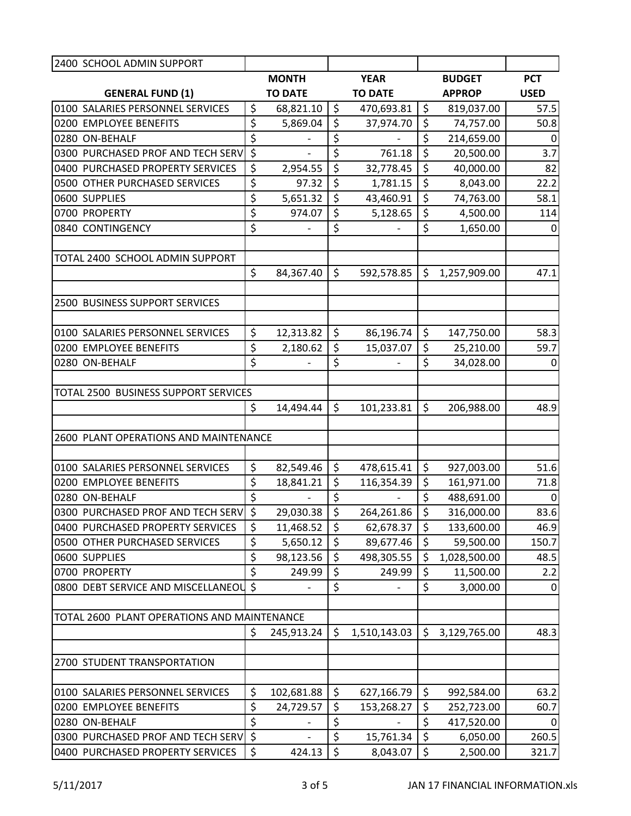| 2400 SCHOOL ADMIN SUPPORT                   |                        |                |                                 |                |                    |             |
|---------------------------------------------|------------------------|----------------|---------------------------------|----------------|--------------------|-------------|
|                                             |                        | <b>MONTH</b>   |                                 | <b>YEAR</b>    | <b>BUDGET</b>      | <b>PCT</b>  |
| <b>GENERAL FUND (1)</b>                     |                        | <b>TO DATE</b> |                                 | <b>TO DATE</b> | <b>APPROP</b>      | <b>USED</b> |
| 0100 SALARIES PERSONNEL SERVICES            | \$                     | 68,821.10      | $\zeta$                         | 470,693.81     | \$<br>819,037.00   | 57.5        |
| 0200 EMPLOYEE BENEFITS                      | \$                     | 5,869.04       | $\overline{\xi}$                | 37,974.70      | \$<br>74,757.00    | 50.8        |
| 0280 ON-BEHALF                              | \$                     |                | \$                              |                | \$<br>214,659.00   | 0           |
| 0300 PURCHASED PROF AND TECH SERV           | $\overline{\xi}$       |                | $\overline{\boldsymbol{\zeta}}$ | 761.18         | \$<br>20,500.00    | 3.7         |
| 0400 PURCHASED PROPERTY SERVICES            | \$                     | 2,954.55       | \$                              | 32,778.45      | \$<br>40,000.00    | 82          |
| 0500 OTHER PURCHASED SERVICES               | \$                     | 97.32          | \$                              | 1,781.15       | \$<br>8,043.00     | 22.2        |
| 0600 SUPPLIES                               | \$                     | 5,651.32       | \$                              | 43,460.91      | \$<br>74,763.00    | 58.1        |
| 0700 PROPERTY                               | \$                     | 974.07         | $\zeta$                         | 5,128.65       | \$<br>4,500.00     | 114         |
| 0840 CONTINGENCY                            | \$                     |                | \$                              |                | \$<br>1,650.00     | 0           |
| TOTAL 2400 SCHOOL ADMIN SUPPORT             |                        |                |                                 |                |                    |             |
|                                             | \$                     | 84,367.40      | \$                              | 592,578.85     | \$<br>1,257,909.00 | 47.1        |
| 2500 BUSINESS SUPPORT SERVICES              |                        |                |                                 |                |                    |             |
|                                             |                        |                |                                 |                |                    |             |
| 0100 SALARIES PERSONNEL SERVICES            | \$                     | 12,313.82      | \$                              | 86,196.74      | \$<br>147,750.00   | 58.3        |
| 0200 EMPLOYEE BENEFITS                      | \$                     | 2,180.62       | \$                              | 15,037.07      | \$<br>25,210.00    | 59.7        |
| 0280 ON-BEHALF                              | \$                     |                | \$                              |                | \$<br>34,028.00    | $\Omega$    |
|                                             |                        |                |                                 |                |                    |             |
| TOTAL 2500 BUSINESS SUPPORT SERVICES        |                        |                |                                 |                |                    |             |
|                                             | \$                     | 14,494.44      | \$                              | 101,233.81     | \$<br>206,988.00   | 48.9        |
| 2600 PLANT OPERATIONS AND MAINTENANCE       |                        |                |                                 |                |                    |             |
|                                             |                        |                |                                 |                |                    |             |
| 0100 SALARIES PERSONNEL SERVICES            | \$                     | 82,549.46      | $\zeta$                         | 478,615.41     | \$<br>927,003.00   | 51.6        |
| 0200 EMPLOYEE BENEFITS                      | \$                     | 18,841.21      | \$                              | 116,354.39     | \$<br>161,971.00   | 71.8        |
| 0280 ON-BEHALF                              | $\overline{\varsigma}$ |                | $\overline{\xi}$                |                | \$<br>488,691.00   | $\mathbf 0$ |
| 0300 PURCHASED PROF AND TECH SERV \$        |                        | 29,030.38      | $\overline{\xi}$                | 264,261.86     | \$<br>316,000.00   | 83.6        |
| 0400 PURCHASED PROPERTY SERVICES            | \$                     | 11,468.52      | \$                              | 62,678.37      | \$<br>133,600.00   | 46.9        |
| 0500 OTHER PURCHASED SERVICES               | \$                     | 5,650.12       | \$                              | 89,677.46      | \$<br>59,500.00    | 150.7       |
| 0600 SUPPLIES                               | \$                     | 98,123.56      | \$                              | 498,305.55     | \$<br>1,028,500.00 | 48.5        |
| 0700 PROPERTY                               | \$                     | 249.99         | \$                              | 249.99         | \$<br>11,500.00    | 2.2         |
| 0800 DEBT SERVICE AND MISCELLANEOL          | $\zeta$                |                | \$                              |                | \$<br>3,000.00     | 0           |
|                                             |                        |                |                                 |                |                    |             |
| TOTAL 2600 PLANT OPERATIONS AND MAINTENANCE |                        |                |                                 |                |                    |             |
|                                             | \$                     | 245,913.24     | \$                              | 1,510,143.03   | \$<br>3,129,765.00 | 48.3        |
| 2700 STUDENT TRANSPORTATION                 |                        |                |                                 |                |                    |             |
|                                             |                        |                |                                 |                |                    |             |
| 0100 SALARIES PERSONNEL SERVICES            | \$                     | 102,681.88     | \$                              | 627,166.79     | \$<br>992,584.00   | 63.2        |
| 0200 EMPLOYEE BENEFITS                      | \$                     | 24,729.57      | \$                              | 153,268.27     | \$<br>252,723.00   | 60.7        |
| 0280 ON-BEHALF                              | \$                     |                | \$                              |                | \$<br>417,520.00   | 0           |
| 0300 PURCHASED PROF AND TECH SERV           | $\zeta$                |                | \$                              | 15,761.34      | \$<br>6,050.00     | 260.5       |
| 0400 PURCHASED PROPERTY SERVICES            | $\zeta$                | 424.13         | $\zeta$                         | 8,043.07       | \$<br>2,500.00     | 321.7       |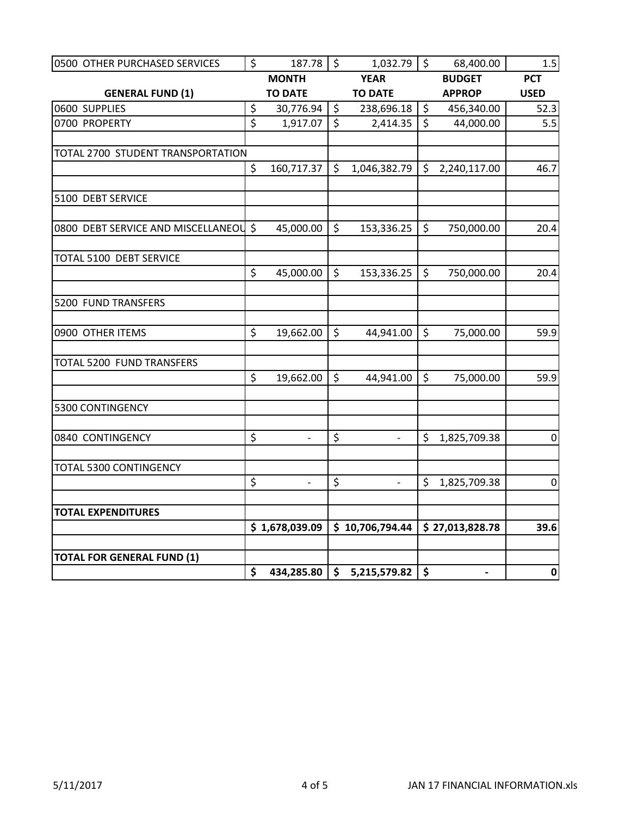| 0500 OTHER PURCHASED SERVICES         | $\zeta$                 | 187.78         | $\overline{\phantom{0}}$ | $1,032.79$ \$   |              | 68,400.00                    | 1.5              |
|---------------------------------------|-------------------------|----------------|--------------------------|-----------------|--------------|------------------------------|------------------|
|                                       |                         | <b>MONTH</b>   |                          | <b>YEAR</b>     |              | <b>BUDGET</b>                | <b>PCT</b>       |
| <b>GENERAL FUND (1)</b>               |                         | <b>TO DATE</b> |                          | <b>TO DATE</b>  |              | <b>APPROP</b>                | <b>USED</b>      |
| 0600 SUPPLIES                         | \$                      | 30,776.94      | $\zeta$                  | 238,696.18      | $\zeta$      | 456,340.00                   | 52.3             |
| 0700 PROPERTY                         | $\overline{\mathsf{S}}$ | 1,917.07       | $\overline{\varsigma}$   | 2,414.35        | $\mathsf{S}$ | 44,000.00                    | 5.5              |
|                                       |                         |                |                          |                 |              |                              |                  |
| TOTAL 2700 STUDENT TRANSPORTATION     |                         |                |                          |                 |              |                              |                  |
|                                       | $\zeta$                 | 160,717.37     | $\mathsf{S}$             | 1,046,382.79    | $\zeta$      | 2,240,117.00                 | 46.7             |
| 5100 DEBT SERVICE                     |                         |                |                          |                 |              |                              |                  |
| 0800 DEBT SERVICE AND MISCELLANEOU \$ |                         | 45,000.00      | $\zeta$                  | $153,336.25$ \$ |              | 750,000.00                   | 20.4             |
| TOTAL 5100 DEBT SERVICE               |                         |                |                          |                 |              |                              |                  |
|                                       | $\zeta$                 | 45,000.00      | $\zeta$                  | 153,336.25      | $\zeta$      | 750,000.00                   | 20.4             |
| 5200 FUND TRANSFERS                   |                         |                |                          |                 |              |                              |                  |
| 0900 OTHER ITEMS                      | \$                      | 19,662.00      | $\zeta$                  | 44,941.00       | $\zeta$      | 75,000.00                    | 59.9             |
| TOTAL 5200 FUND TRANSFERS             |                         |                |                          |                 |              |                              |                  |
|                                       | \$                      | 19,662.00      | $\zeta$                  | 44,941.00       | $\zeta$      | 75,000.00                    | 59.9             |
| 5300 CONTINGENCY                      |                         |                |                          |                 |              |                              |                  |
| 0840 CONTINGENCY                      | \$                      | $\frac{1}{2}$  | \$                       | $\Box$          | \$           | 1,825,709.38                 | $\boldsymbol{0}$ |
| TOTAL 5300 CONTINGENCY                |                         |                |                          |                 |              |                              |                  |
|                                       | \$                      |                | $\zeta$                  |                 | \$           | 1,825,709.38                 | $\boldsymbol{0}$ |
| <b>TOTAL EXPENDITURES</b>             |                         |                |                          |                 |              |                              |                  |
|                                       |                         | \$1,678,039.09 |                          | \$10,706,794.44 |              | \$27,013,828.78              | 39.6             |
| <b>TOTAL FOR GENERAL FUND (1)</b>     |                         |                |                          |                 |              |                              |                  |
|                                       | \$                      | 434,285.80     |                          | 5,215,579.82    | \$           | $\qquad \qquad \blacksquare$ | 0                |